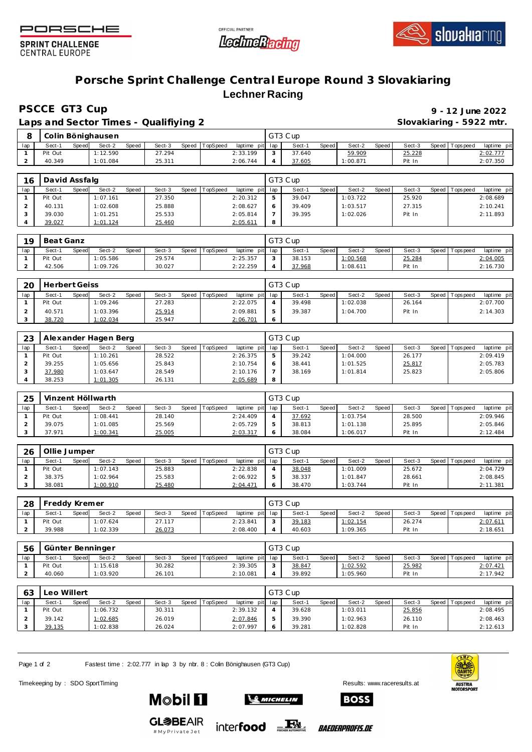





**SPRINT CHALLENGE CENTRAL EUROPE** 

## **Porsche Sprint Challenge Central Europe Round 3 Slovakiaring Lechner Racing**

**PSCCE GT3 Cup 9 - 12 June 2022**

|     |         |       |                   |       | Laps and Sector Times - Qualifiying 2 |                |                 |   |         |       |          |       | Slovakiaring - 5922 mtr. |                |             |
|-----|---------|-------|-------------------|-------|---------------------------------------|----------------|-----------------|---|---------|-------|----------|-------|--------------------------|----------------|-------------|
|     |         |       | Colin Bönighausen |       |                                       |                |                 |   | GT3 Cup |       |          |       |                          |                |             |
| lap | Sect-1  | Speed | Sect-2            | Speed | Sect-3                                | Speed TopSpeed | laptime pit lap |   | Sect-1  | Speed | Sect-2   | Speed | Sect-3                   | Speed Topspeed | laptime pit |
|     | Pit Out |       | 1:12.590          |       | 27.294                                |                | 2:33.199        | 3 | 37.640  |       | 59.909   |       | 25.228                   |                | 2:02.777    |
|     | 40.349  |       | 1:01.084          |       | 25.311                                |                | 2:06.744        |   | 37.605  |       | 1:00.871 |       | Pit In                   |                | 2:07.350    |

| 16  | David Assfalg |       |          |       |        |       |          |             |     | GT3 Cup |       |          |       |        |       |           |             |
|-----|---------------|-------|----------|-------|--------|-------|----------|-------------|-----|---------|-------|----------|-------|--------|-------|-----------|-------------|
| lap | Sect-1        | Speed | Sect-2   | Speed | Sect-3 | Speed | TopSpeed | laptime pit | lap | Sect-1  | Speed | Sect-2   | Speed | Sect-3 | Speed | Tops peed | laptime pit |
|     | Pit Out       |       | 1:07.161 |       | 27.350 |       |          | 2:20.312    | ь   | 39.047  |       | 1:03.722 |       | 25.920 |       |           | 2:08.689    |
|     | 40.131        |       | 1:02.608 |       | 25.888 |       |          | 2:08.627    | 6   | 39.409  |       | 1:03.517 |       | 27.315 |       |           | 2:10.241    |
|     | 39.030        |       | 1:01.251 |       | 25.533 |       |          | 2:05.814    |     | 39.395  |       | 1:02.026 |       | Pit In |       |           | 2:11.893    |
|     | 39.027        |       | 1:01.124 |       | 25.460 |       |          | 2:05.611    | 8   |         |       |          |       |        |       |           |             |

| 19  | Beat Ganz |       |          |       |        |                  |                 | GT3 Cup |       |          |       |        |                 |             |
|-----|-----------|-------|----------|-------|--------|------------------|-----------------|---------|-------|----------|-------|--------|-----------------|-------------|
| lap | Sect-1    | Speed | Sect-2   | Speed | Sect-3 | Speed   TopSpeed | laptime pit lap | Sect-1  | Speed | Sect-2   | Speed | Sect-3 | Speed Tops peed | laptime pit |
|     | Pit Out   |       | 1:05.586 |       | 29.574 |                  | 2:25.357        | 38.153  |       | 1:00.568 |       | 25.284 |                 | 2:04.005    |
| ∼   | 42.506    |       | 1:09.726 |       | 30.027 |                  | 2:22.259        | 37.968  |       | 1:08.611 |       | Pit In |                 | 2:16.730    |

| 20  | Herbert Geiss |       |          |       |        |       |          |                 |   | GT3 Cup |       |          |       |        |                 |             |
|-----|---------------|-------|----------|-------|--------|-------|----------|-----------------|---|---------|-------|----------|-------|--------|-----------------|-------------|
| lap | Sect-1        | Speed | Sect-2   | Speed | Sect-3 | Speed | TopSpeed | laptime pit lap |   | Sect-   | Speed | Sect-2   | Speed | Sect-3 | Speed Tops peed | laptime pit |
|     | Pit Out       |       | 1:09.246 |       | 27.283 |       |          | 2:22.075        |   | 39.498  |       | 1:02.038 |       | 26.164 |                 | 2:07.700    |
|     | 40.571        |       | 1:03.396 |       | 25.914 |       |          | 2:09.881        | ь | 39.387  |       | 1:04.700 |       | Pit In |                 | 2:14.303    |
|     | 38.720        |       | 1:02.034 |       | 25.947 |       |          | 2:06.701        |   |         |       |          |       |        |                 |             |

| 23  |         |       | Alexander Hagen Berg |              |        |         |                 |                 |   | GT3 Cup |              |          |       |        |                   |             |
|-----|---------|-------|----------------------|--------------|--------|---------|-----------------|-----------------|---|---------|--------------|----------|-------|--------|-------------------|-------------|
| lap | Sect-1  | Speed | Sect-2               | <b>Speed</b> | Sect-3 | Speed 1 | <b>TopSpeed</b> | laptime pit lap |   | Sect-1  | <b>Speed</b> | Sect-2   | Speed | Sect-3 | Speed   Tops peed | laptime pit |
|     | Pit Out |       | 1:10.261             |              | 28.522 |         |                 | 2:26.375        |   | 39.242  |              | 1:04.000 |       | 26.177 |                   | 2:09.419    |
|     | 39.255  |       | 1:05.656             |              | 25.843 |         |                 | 2:10.754        |   | 38.441  |              | 1:01.525 |       | 25.817 |                   | 2:05.783    |
|     | 37.980  |       | 1:03.647             |              | 28.549 |         |                 | 2:10.176        |   | 38.169  |              | 1:01.814 |       | 25.823 |                   | 2:05.806    |
|     | 38.253  |       | 1:01.305             |              | 26.131 |         |                 | 2:05.689        | 8 |         |              |          |       |        |                   |             |

| 25  |         |       | Vinzent Höllwarth |       |        |       |          |                 | GT3 Cup |       |          |       |        |         |             |             |  |
|-----|---------|-------|-------------------|-------|--------|-------|----------|-----------------|---------|-------|----------|-------|--------|---------|-------------|-------------|--|
| lap | Sect-1  | Speed | Sect-2            | Speed | Sect-3 | Speed | TopSpeed | laptime pit lap | Sect-1  | Speed | Sect-2   | Speed | Sect-3 | Speed I | T ops pee d | laptime pit |  |
|     | Pit Out |       | 1:08.441          |       | 28.140 |       |          | 2:24.409        | 37.692  |       | 1:03.754 |       | 28.500 |         |             | 2:09.946    |  |
|     | 39.075  |       | 1:01.085          |       | 25.569 |       |          | 2:05.729        | 38.813  |       | 1:01.138 |       | 25.895 |         |             | 2:05.846    |  |
|     | 37.971  |       | : 00.341          |       | 25.005 |       |          | 2:03.317        | 38.084  |       | 1:06.017 |       | Pit In |         |             | 2:12.484    |  |

| 26  | Ollie Jumper |       |          |       |        |       |          |          |         | GT3 Cup |       |          |         |        |                 |             |
|-----|--------------|-------|----------|-------|--------|-------|----------|----------|---------|---------|-------|----------|---------|--------|-----------------|-------------|
| lap | Sect-1       | Speed | Sect-2   | Speed | Sect-3 | Speed | TopSpeed | laptime  | pit lap | Sect-1  | Speed | Sect-2   | Speed I | Sect-3 | Speed Tops peed | laptime pit |
|     | Pit Out      |       | 1:07.143 |       | 25.883 |       |          | 2:22.838 |         | 38.048  |       | 1:01.009 |         | 25.672 |                 | 2:04.729    |
|     | 38.375       |       | 1:02.964 |       | 25.583 |       |          | 2:06.922 |         | 38.337  |       | 1:01.847 |         | 28.661 |                 | 2:08.845    |
|     | 38.081       |       | 1:00.910 |       | 25.480 |       |          | 2:04.471 |         | 38.470  |       | 1:03.744 |         | Pit In |                 | 2:11.381    |

| 28  | Treddy Kremer |       |          |              |        |       |          |                 |        | GT3 Cup |              |          |       |        |                 |             |
|-----|---------------|-------|----------|--------------|--------|-------|----------|-----------------|--------|---------|--------------|----------|-------|--------|-----------------|-------------|
| lap | Sect-1        | Speed | Sect-2   | <b>Speed</b> | Sect-3 | Speed | TopSpeed | laptime pit lap |        | Sect-   | <b>Speed</b> | Sect-2   | Speed | Sect-3 | Speed Tops peed | laptime pit |
|     | Pit Out       |       | 1:07.624 |              | 27.117 |       |          | 2:23.841        | $\sim$ | 39.183  |              | 1:02.154 |       | 26.274 |                 | 2:07.61     |
|     | 39.988        |       | : 02.339 |              | 26.073 |       |          | 2:08.400        |        | 40.603  |              | 1:09.365 |       | Pit In |                 | 2:18.651    |

| 56  |         |       | Günter Benninger |       |        |       |          |                 | GT3 Cup |       |                  |       |        |                 |             |
|-----|---------|-------|------------------|-------|--------|-------|----------|-----------------|---------|-------|------------------|-------|--------|-----------------|-------------|
| lap | Sect-1  | Speed | Sect-2           | Speed | Sect-3 | Speed | TopSpeed | laptime pit lap | Sect-1  | Speed | Sect-2           | Speed | Sect-3 | Speed Tops peed | laptime pit |
|     | Pit Out |       | 1:15.618         |       | 30.282 |       |          | 2:39.305        | 38.847  |       | <u> 1:02.592</u> |       | 25.982 |                 | 2:07.421    |
|     | 40.060  |       | 1:03.920         |       | 26.101 |       |          | 2:10.081        | 39.892  |       | : 05.960         |       | Pit In |                 | 2:17.942    |

| 63  | Leo Willert |       |          |       |        |              |          |          |         | GT3 Cup |       |          |       |        |                 |                |
|-----|-------------|-------|----------|-------|--------|--------------|----------|----------|---------|---------|-------|----------|-------|--------|-----------------|----------------|
| lap | Sect-1      | Speed | Sect-2   | Speed | Sect-3 | <b>Speed</b> | TopSpeed | laptime  | pit lap | Sect-1  | Speed | Sect-2   | Speed | Sect-3 | Speed Tops peed | pit<br>laptime |
|     | Pit Out     |       | 1:06.732 |       | 30.311 |              |          | 2:39.132 |         | 39.628  |       | 1:03.011 |       | 25.856 |                 | 2:08.495       |
|     | 39.142      |       | 1:02.685 |       | 26.019 |              |          | 2:07.846 |         | 39.390  |       | 1:02.963 |       | 26.110 |                 | 2:08.463       |
|     | 39.135      |       | 1:02.838 |       | 26.024 |              |          | 2:07.997 |         | 39.281  |       | 1:02.828 |       | Pit In |                 | 2:12.613       |

Page 1 of 2 Fastest time : 2:02.777 in lap 3 by nbr. 8 : Colin Bönighausen (GT3 Cup)

**Mobil 11** 

Timekeeping by : SDO SportTiming Results: [www.raceresults.a](www.raceresults.at)t

**ENTRE** AUSTRIA<br>MOTORSPORT

**SO MICHELIN** 







*BAEDERPROFIS.DE*